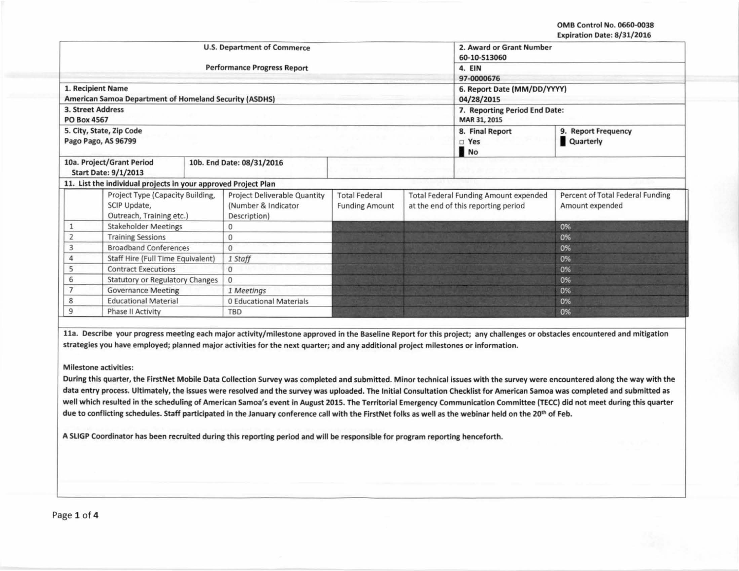OMB Control No. 0660-0038 Expiration Date: 8/31/2016

|                           |                                                                                           | <b>U.S. Department of Commerce</b>                                         | 2. Award or Grant Number<br>60-10-S13060      |                                                                                     |                                        |                                                     |
|---------------------------|-------------------------------------------------------------------------------------------|----------------------------------------------------------------------------|-----------------------------------------------|-------------------------------------------------------------------------------------|----------------------------------------|-----------------------------------------------------|
|                           |                                                                                           |                                                                            |                                               |                                                                                     |                                        |                                                     |
|                           |                                                                                           | <b>Performance Progress Report</b>                                         | 4. EIN                                        |                                                                                     |                                        |                                                     |
|                           |                                                                                           |                                                                            |                                               |                                                                                     | 97-0000676                             |                                                     |
|                           | 1. Recipient Name                                                                         |                                                                            | 6. Report Date (MM/DD/YYYY)                   |                                                                                     |                                        |                                                     |
|                           | <b>American Samoa Department of Homeland Security (ASDHS)</b><br><b>3. Street Address</b> |                                                                            |                                               |                                                                                     | 04/28/2015                             |                                                     |
| <b>PO Box 4567</b>        |                                                                                           |                                                                            | 7. Reporting Period End Date:<br>MAR 31, 2015 |                                                                                     |                                        |                                                     |
|                           | 5. City, State, Zip Code<br>Pago Pago, AS 96799                                           |                                                                            |                                               |                                                                                     | 8. Final Report<br>$\square$ Yes<br>No | 9. Report Frequency<br>Quarterly                    |
|                           | 10a. Project/Grant Period<br>10b. End Date: 08/31/2016<br><b>Start Date: 9/1/2013</b>     |                                                                            |                                               |                                                                                     |                                        |                                                     |
|                           | 11. List the individual projects in your approved Project Plan                            |                                                                            |                                               |                                                                                     |                                        |                                                     |
|                           | Project Type (Capacity Building,<br>SCIP Update,<br>Outreach, Training etc.)              | <b>Project Deliverable Quantity</b><br>(Number & Indicator<br>Description) | <b>Total Federal</b><br><b>Funding Amount</b> | <b>Total Federal Funding Amount expended</b><br>at the end of this reporting period |                                        | Percent of Total Federal Funding<br>Amount expended |
|                           | <b>Stakeholder Meetings</b>                                                               | 0                                                                          |                                               |                                                                                     |                                        | 0%                                                  |
| $\overline{2}$            | <b>Training Sessions</b>                                                                  | $\mathbf{0}$                                                               |                                               |                                                                                     |                                        | 0%                                                  |
| 3                         | <b>Broadband Conferences</b>                                                              | $\Omega$                                                                   |                                               |                                                                                     |                                        | 0%                                                  |
| 4                         | Staff Hire (Full Time Equivalent)                                                         | 1 Staff                                                                    |                                               |                                                                                     |                                        | 0%                                                  |
| 5                         | <b>Contract Executions</b>                                                                | $\mathbf{0}$                                                               |                                               |                                                                                     |                                        | 0%                                                  |
| 6                         | <b>Statutory or Regulatory Changes</b>                                                    | $\mathbf{0}$                                                               |                                               |                                                                                     |                                        | 0%                                                  |
| <b>Governance Meeting</b> |                                                                                           | 1 Meetings                                                                 |                                               |                                                                                     |                                        | 0%                                                  |
| 8                         | <b>Educational Material</b>                                                               | 0 Educational Materials                                                    |                                               |                                                                                     |                                        | 0%                                                  |
| 9                         | Phase II Activity                                                                         | TBD                                                                        |                                               |                                                                                     |                                        | 0%                                                  |

lla. Describe your progress meeting each major activity/milestone approved in the Baseline Report for this project; any challenges or obstacles encountered and mitigation strategies you have employed; planned major activities for the next quarter; and any additional project milestones or information.

## Milestone activities:

During this quarter, the FirstNet Mobile Data Collection Survey was completed and submitted. Minor technical issues with the survey were encountered along the way with the data entry process. Ultimately, the issues were resolved and the survey was uploaded. The Initial Consultation Checklist for American Samoa was completed and submitted as well which resulted in the scheduling of American Samoa's event in August 2015. The Territorial Emergency Communication Committee (TECC) did not meet during this quarter due to conflicting schedules. Staff participated in the January conference call with the FirstNet folks as well as the webinar held on the 20<sup>th</sup> of Feb.

A SLIGP Coordinator has been recruited during this reporting period and will be responsible for program reporting henceforth.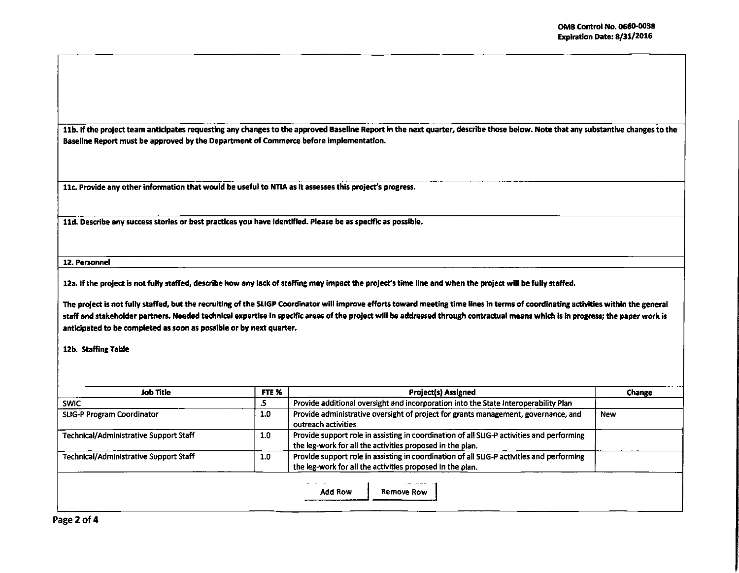11b. If the project team anticipates requesting any changes to the approved Baseline Report in the next quarter, describe those below. Note that any substantive changes to the Baseline Report must be approved by the Department of Commerce before implementation.

11c. Provide any other information that would be useful to NTIA as it assesses this project's progress.

11d. Describe any success stories or best practices you have identified. Please be as specific as possible.

**12. Personnel** 

12a. If the project is not fully staffed, describe how any lack of staffing may impact the project's time line and when the project will be fully staffed.

The project is not fully staffed, but the recruiting of the SLIGP Coordinator will improve efforts toward meeting time lines in terms of coordinating activities within the general staff and stakeholder partnen. Needed technical expertise in specific areas of the project will be addressed through contractual means which is in progress; the paper work is anticipated to be completed as soon as possible or by next quarter.

12b. Staffing Table

| Job Title                                     | FTE % | <b>Project(s) Assigned</b>                                                                                                                             | Change |  |  |  |
|-----------------------------------------------|-------|--------------------------------------------------------------------------------------------------------------------------------------------------------|--------|--|--|--|
| <b>SWIC</b>                                   | د.    | Provide additional oversight and incorporation into the State Interoperability Plan                                                                    |        |  |  |  |
| <b>SLIG-P Program Coordinator</b>             | 1.0   | Provide administrative oversight of project for grants management, governance, and<br>outreach activities                                              | New    |  |  |  |
| Technical/Administrative Support Staff        | 1.0   | Provide support role in assisting in coordination of all SLIG-P activities and performing<br>the leg-work for all the activities proposed in the plan. |        |  |  |  |
| <b>Technical/Administrative Support Staff</b> | 1.0   | Provide support role in assisting in coordination of all SLIG-P activities and performing<br>the leg-work for all the activities proposed in the plan. |        |  |  |  |

Page 2 of 4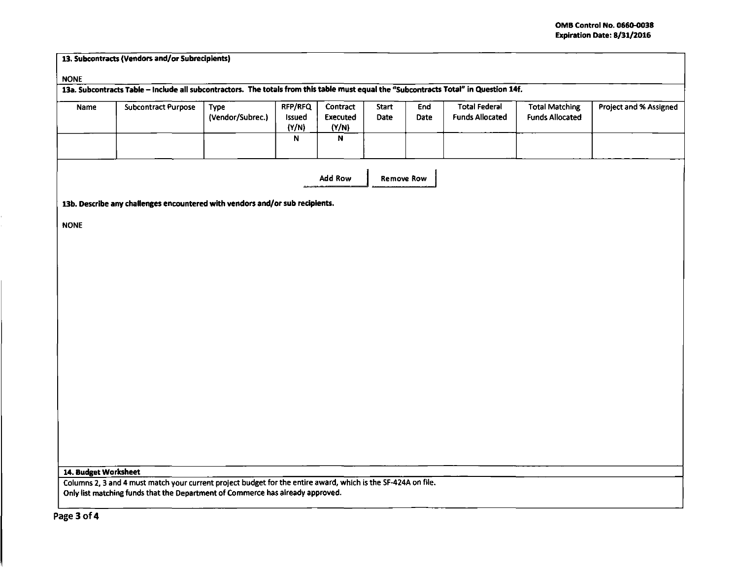| <b>NONE</b> | 13a. Subcontracts Table - include all subcontractors. The totals from this table must equal the "Subcontracts Total" in Question 14f. |                  |                 |                          |                   |      |                        |                        |                        |
|-------------|---------------------------------------------------------------------------------------------------------------------------------------|------------------|-----------------|--------------------------|-------------------|------|------------------------|------------------------|------------------------|
|             |                                                                                                                                       |                  |                 |                          |                   |      |                        |                        |                        |
| Name        | <b>Subcontract Purpose</b>                                                                                                            | Type             | RFP/RFQ         | Contract                 | <b>Start</b>      | End  | <b>Total Federal</b>   | <b>Total Matching</b>  | Project and % Assigned |
|             |                                                                                                                                       | (Vendor/Subrec.) | Issued<br>(Y/N) | <b>Executed</b><br>(Y/N) | Date              | Date | <b>Funds Allocated</b> | <b>Funds Allocated</b> |                        |
|             |                                                                                                                                       |                  | N               | N                        |                   |      |                        |                        |                        |
|             |                                                                                                                                       |                  |                 |                          |                   |      |                        |                        |                        |
|             |                                                                                                                                       |                  |                 | <b>Add Row</b>           | <b>Remove Row</b> |      |                        |                        |                        |
|             |                                                                                                                                       |                  |                 |                          |                   |      |                        |                        |                        |
|             | 13b. Describe any challenges encountered with vendors and/or sub recipients.                                                          |                  |                 |                          |                   |      |                        |                        |                        |
| <b>NONE</b> |                                                                                                                                       |                  |                 |                          |                   |      |                        |                        |                        |
|             |                                                                                                                                       |                  |                 |                          |                   |      |                        |                        |                        |
|             |                                                                                                                                       |                  |                 |                          |                   |      |                        |                        |                        |
|             |                                                                                                                                       |                  |                 |                          |                   |      |                        |                        |                        |
|             |                                                                                                                                       |                  |                 |                          |                   |      |                        |                        |                        |
|             |                                                                                                                                       |                  |                 |                          |                   |      |                        |                        |                        |
|             |                                                                                                                                       |                  |                 |                          |                   |      |                        |                        |                        |
|             |                                                                                                                                       |                  |                 |                          |                   |      |                        |                        |                        |
|             |                                                                                                                                       |                  |                 |                          |                   |      |                        |                        |                        |
|             |                                                                                                                                       |                  |                 |                          |                   |      |                        |                        |                        |
|             |                                                                                                                                       |                  |                 |                          |                   |      |                        |                        |                        |
|             |                                                                                                                                       |                  |                 |                          |                   |      |                        |                        |                        |
|             |                                                                                                                                       |                  |                 |                          |                   |      |                        |                        |                        |
|             |                                                                                                                                       |                  |                 |                          |                   |      |                        |                        |                        |
|             |                                                                                                                                       |                  |                 |                          |                   |      |                        |                        |                        |
|             |                                                                                                                                       |                  |                 |                          |                   |      |                        |                        |                        |
|             |                                                                                                                                       |                  |                 |                          |                   |      |                        |                        |                        |
|             |                                                                                                                                       |                  |                 |                          |                   |      |                        |                        |                        |
|             |                                                                                                                                       |                  |                 |                          |                   |      |                        |                        |                        |
|             |                                                                                                                                       |                  |                 |                          |                   |      |                        |                        |                        |
|             |                                                                                                                                       |                  |                 |                          |                   |      |                        |                        |                        |